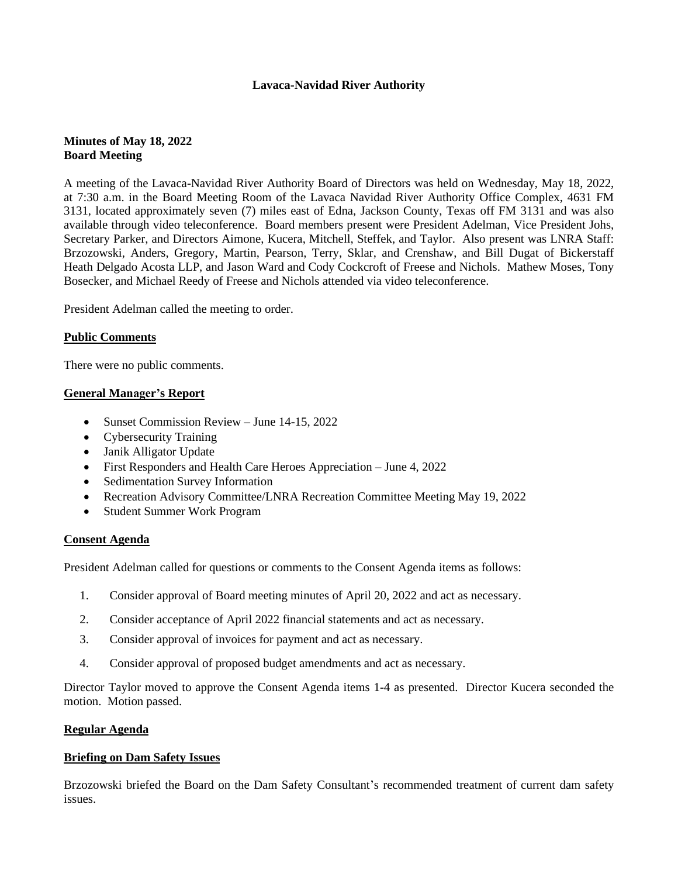# **Lavaca-Navidad River Authority**

# **Minutes of May 18, 2022 Board Meeting**

A meeting of the Lavaca-Navidad River Authority Board of Directors was held on Wednesday, May 18, 2022, at 7:30 a.m. in the Board Meeting Room of the Lavaca Navidad River Authority Office Complex, 4631 FM 3131, located approximately seven (7) miles east of Edna, Jackson County, Texas off FM 3131 and was also available through video teleconference. Board members present were President Adelman, Vice President Johs, Secretary Parker, and Directors Aimone, Kucera, Mitchell, Steffek, and Taylor. Also present was LNRA Staff: Brzozowski, Anders, Gregory, Martin, Pearson, Terry, Sklar, and Crenshaw, and Bill Dugat of Bickerstaff Heath Delgado Acosta LLP, and Jason Ward and Cody Cockcroft of Freese and Nichols. Mathew Moses, Tony Bosecker, and Michael Reedy of Freese and Nichols attended via video teleconference.

President Adelman called the meeting to order.

## **Public Comments**

There were no public comments.

### **General Manager's Report**

- Sunset Commission Review June 14-15, 2022
- Cybersecurity Training
- Janik Alligator Update
- First Responders and Health Care Heroes Appreciation June 4, 2022
- Sedimentation Survey Information
- Recreation Advisory Committee/LNRA Recreation Committee Meeting May 19, 2022
- Student Summer Work Program

#### **Consent Agenda**

President Adelman called for questions or comments to the Consent Agenda items as follows:

- 1. Consider approval of Board meeting minutes of April 20, 2022 and act as necessary.
- 2. Consider acceptance of April 2022 financial statements and act as necessary.
- 3. Consider approval of invoices for payment and act as necessary.
- 4. Consider approval of proposed budget amendments and act as necessary.

Director Taylor moved to approve the Consent Agenda items 1-4 as presented. Director Kucera seconded the motion. Motion passed.

#### **Regular Agenda**

#### **Briefing on Dam Safety Issues**

Brzozowski briefed the Board on the Dam Safety Consultant's recommended treatment of current dam safety issues.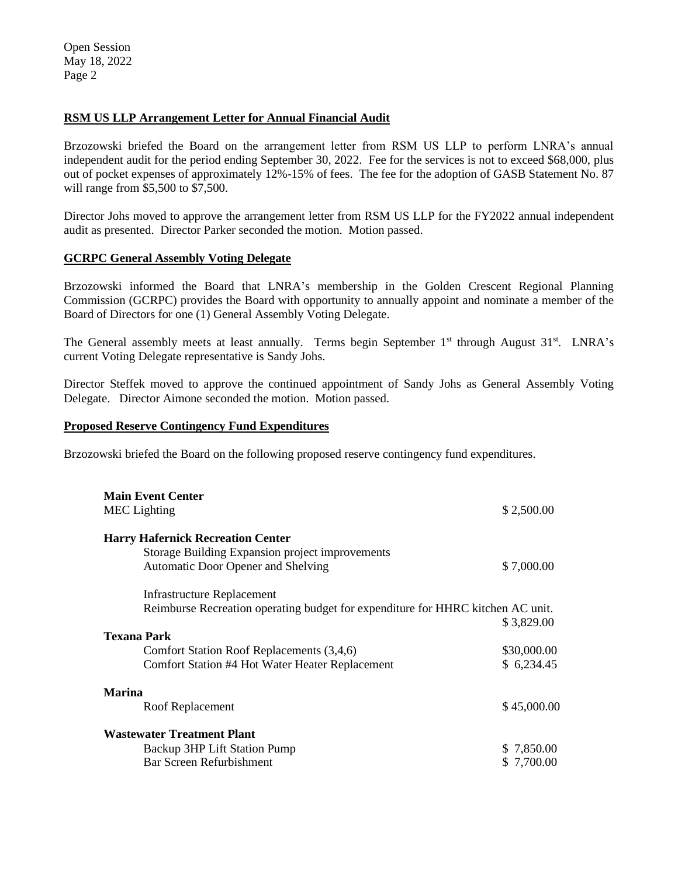### **RSM US LLP Arrangement Letter for Annual Financial Audit**

Brzozowski briefed the Board on the arrangement letter from RSM US LLP to perform LNRA's annual independent audit for the period ending September 30, 2022. Fee for the services is not to exceed \$68,000, plus out of pocket expenses of approximately 12%-15% of fees. The fee for the adoption of GASB Statement No. 87 will range from \$5,500 to \$7,500.

Director Johs moved to approve the arrangement letter from RSM US LLP for the FY2022 annual independent audit as presented. Director Parker seconded the motion. Motion passed.

### **GCRPC General Assembly Voting Delegate**

Brzozowski informed the Board that LNRA's membership in the Golden Crescent Regional Planning Commission (GCRPC) provides the Board with opportunity to annually appoint and nominate a member of the Board of Directors for one (1) General Assembly Voting Delegate.

The General assembly meets at least annually. Terms begin September 1<sup>st</sup> through August 31<sup>st</sup>. LNRA's current Voting Delegate representative is Sandy Johs.

Director Steffek moved to approve the continued appointment of Sandy Johs as General Assembly Voting Delegate. Director Aimone seconded the motion. Motion passed.

### **Proposed Reserve Contingency Fund Expenditures**

Brzozowski briefed the Board on the following proposed reserve contingency fund expenditures.

| <b>Main Event Center</b>                                                                     |             |
|----------------------------------------------------------------------------------------------|-------------|
| <b>MEC</b> Lighting                                                                          | \$2,500.00  |
| <b>Harry Hafernick Recreation Center</b>                                                     |             |
| <b>Storage Building Expansion project improvements</b><br>Automatic Door Opener and Shelving | \$7,000.00  |
| <b>Infrastructure Replacement</b>                                                            |             |
| Reimburse Recreation operating budget for expenditure for HHRC kitchen AC unit.              | \$3,829.00  |
| <b>Texana Park</b>                                                                           |             |
| Comfort Station Roof Replacements (3,4,6)                                                    | \$30,000.00 |
| Comfort Station #4 Hot Water Heater Replacement                                              | \$6,234.45  |
| <b>Marina</b>                                                                                |             |
| Roof Replacement                                                                             | \$45,000.00 |
| <b>Wastewater Treatment Plant</b>                                                            |             |
| Backup 3HP Lift Station Pump                                                                 | \$7,850.00  |
| Bar Screen Refurbishment                                                                     | \$ 7,700.00 |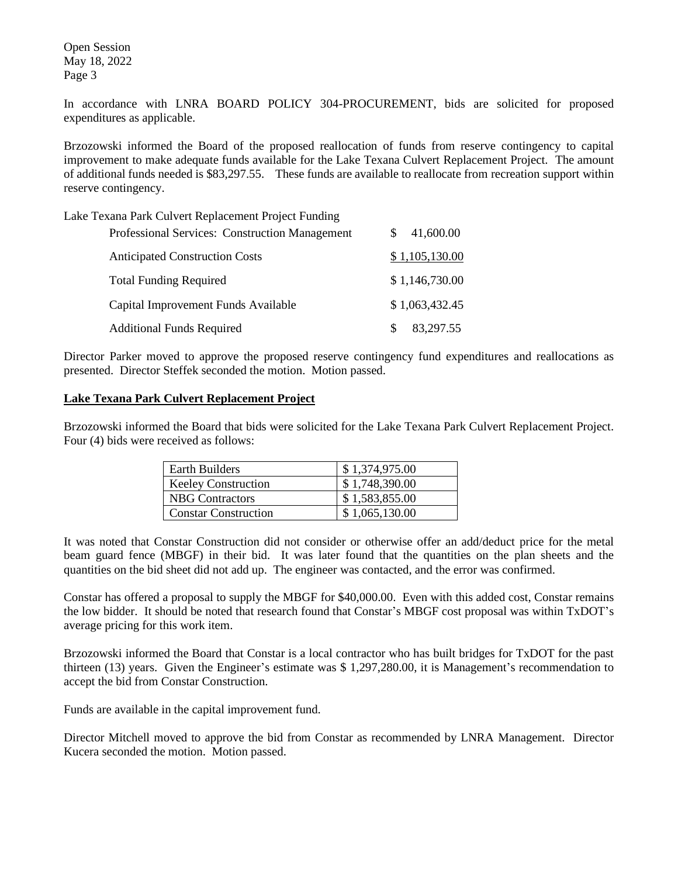In accordance with LNRA BOARD POLICY 304-PROCUREMENT, bids are solicited for proposed expenditures as applicable.

Brzozowski informed the Board of the proposed reallocation of funds from reserve contingency to capital improvement to make adequate funds available for the Lake Texana Culvert Replacement Project. The amount of additional funds needed is \$83,297.55. These funds are available to reallocate from recreation support within reserve contingency.

Lake Texana Park Culvert Replacement Project Funding

|    | 41,600.00      |
|----|----------------|
|    | \$1,105,130.00 |
|    | \$1,146,730.00 |
|    | \$1,063,432.45 |
| S. | 83.297.55      |
|    |                |

Director Parker moved to approve the proposed reserve contingency fund expenditures and reallocations as presented. Director Steffek seconded the motion. Motion passed.

## **Lake Texana Park Culvert Replacement Project**

Brzozowski informed the Board that bids were solicited for the Lake Texana Park Culvert Replacement Project. Four (4) bids were received as follows:

| Earth Builders              | \$1,374,975.00 |
|-----------------------------|----------------|
| <b>Keeley Construction</b>  | \$1,748,390.00 |
| <b>NBG</b> Contractors      | \$1,583,855.00 |
| <b>Constar Construction</b> | \$1,065,130.00 |

It was noted that Constar Construction did not consider or otherwise offer an add/deduct price for the metal beam guard fence (MBGF) in their bid. It was later found that the quantities on the plan sheets and the quantities on the bid sheet did not add up. The engineer was contacted, and the error was confirmed.

Constar has offered a proposal to supply the MBGF for \$40,000.00. Even with this added cost, Constar remains the low bidder. It should be noted that research found that Constar's MBGF cost proposal was within TxDOT's average pricing for this work item.

Brzozowski informed the Board that Constar is a local contractor who has built bridges for TxDOT for the past thirteen (13) years. Given the Engineer's estimate was \$ 1,297,280.00, it is Management's recommendation to accept the bid from Constar Construction.

Funds are available in the capital improvement fund.

Director Mitchell moved to approve the bid from Constar as recommended by LNRA Management. Director Kucera seconded the motion. Motion passed.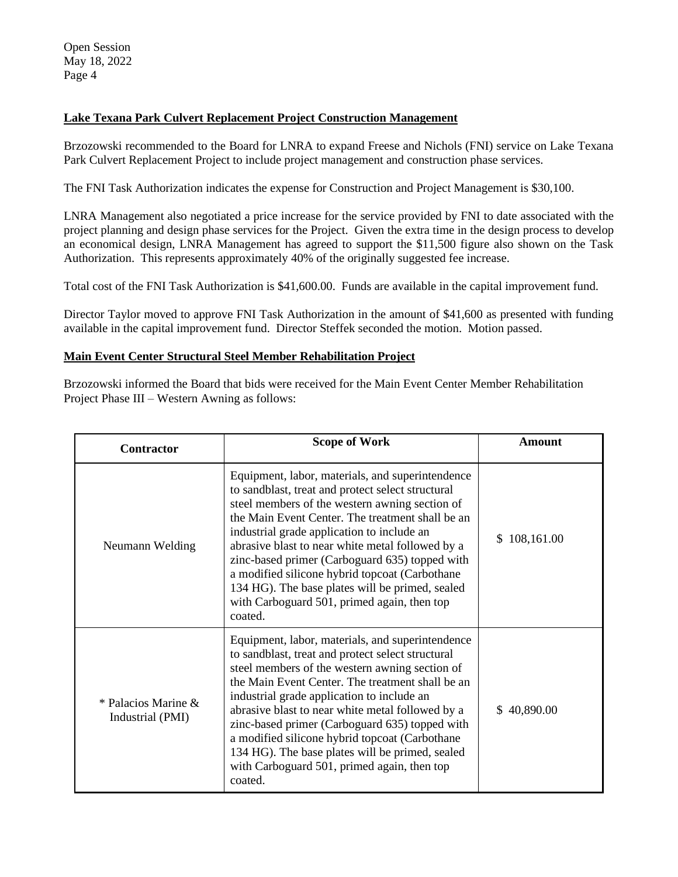# **Lake Texana Park Culvert Replacement Project Construction Management**

Brzozowski recommended to the Board for LNRA to expand Freese and Nichols (FNI) service on Lake Texana Park Culvert Replacement Project to include project management and construction phase services.

The FNI Task Authorization indicates the expense for Construction and Project Management is \$30,100.

LNRA Management also negotiated a price increase for the service provided by FNI to date associated with the project planning and design phase services for the Project. Given the extra time in the design process to develop an economical design, LNRA Management has agreed to support the \$11,500 figure also shown on the Task Authorization. This represents approximately 40% of the originally suggested fee increase.

Total cost of the FNI Task Authorization is \$41,600.00. Funds are available in the capital improvement fund.

Director Taylor moved to approve FNI Task Authorization in the amount of \$41,600 as presented with funding available in the capital improvement fund. Director Steffek seconded the motion. Motion passed.

### **Main Event Center Structural Steel Member Rehabilitation Project**

Brzozowski informed the Board that bids were received for the Main Event Center Member Rehabilitation Project Phase III – Western Awning as follows:

| Contractor                                 | <b>Scope of Work</b>                                                                                                                                                                                                                                                                                                                                                                                                                                                                                                           | <b>Amount</b> |
|--------------------------------------------|--------------------------------------------------------------------------------------------------------------------------------------------------------------------------------------------------------------------------------------------------------------------------------------------------------------------------------------------------------------------------------------------------------------------------------------------------------------------------------------------------------------------------------|---------------|
| Neumann Welding                            | Equipment, labor, materials, and superintendence<br>to sandblast, treat and protect select structural<br>steel members of the western awning section of<br>the Main Event Center. The treatment shall be an<br>industrial grade application to include an<br>abrasive blast to near white metal followed by a<br>zinc-based primer (Carboguard 635) topped with<br>a modified silicone hybrid topcoat (Carbothane<br>134 HG). The base plates will be primed, sealed<br>with Carboguard 501, primed again, then top<br>coated. | \$108,161.00  |
| * Palacios Marine $\&$<br>Industrial (PMI) | Equipment, labor, materials, and superintendence<br>to sandblast, treat and protect select structural<br>steel members of the western awning section of<br>the Main Event Center. The treatment shall be an<br>industrial grade application to include an<br>abrasive blast to near white metal followed by a<br>zinc-based primer (Carboguard 635) topped with<br>a modified silicone hybrid topcoat (Carbothane<br>134 HG). The base plates will be primed, sealed<br>with Carboguard 501, primed again, then top<br>coated. | \$40,890.00   |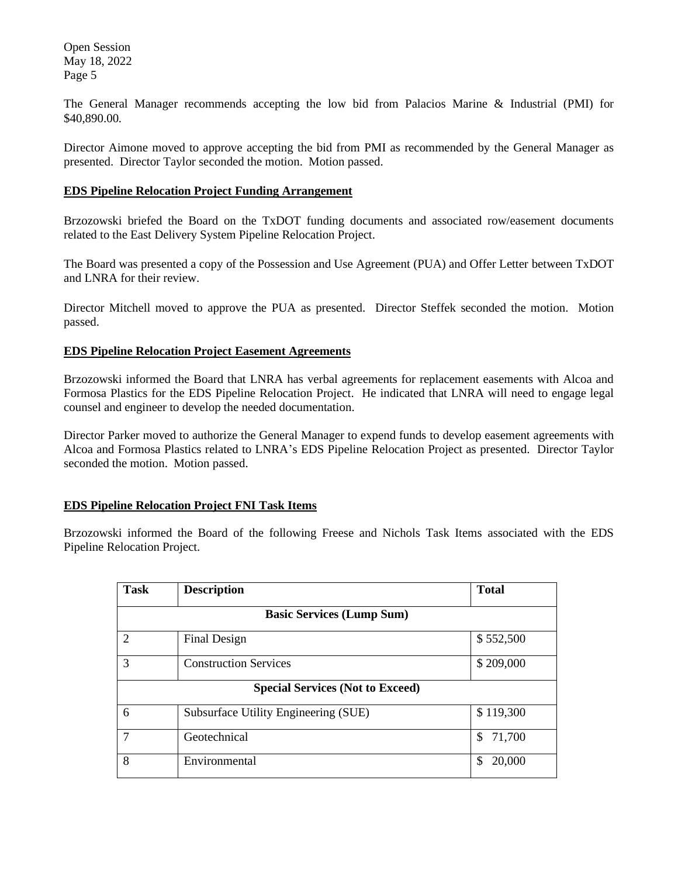The General Manager recommends accepting the low bid from Palacios Marine & Industrial (PMI) for \$40,890.00.

Director Aimone moved to approve accepting the bid from PMI as recommended by the General Manager as presented. Director Taylor seconded the motion. Motion passed.

### **EDS Pipeline Relocation Project Funding Arrangement**

Brzozowski briefed the Board on the TxDOT funding documents and associated row/easement documents related to the East Delivery System Pipeline Relocation Project.

The Board was presented a copy of the Possession and Use Agreement (PUA) and Offer Letter between TxDOT and LNRA for their review.

Director Mitchell moved to approve the PUA as presented. Director Steffek seconded the motion. Motion passed.

### **EDS Pipeline Relocation Project Easement Agreements**

Brzozowski informed the Board that LNRA has verbal agreements for replacement easements with Alcoa and Formosa Plastics for the EDS Pipeline Relocation Project. He indicated that LNRA will need to engage legal counsel and engineer to develop the needed documentation.

Director Parker moved to authorize the General Manager to expend funds to develop easement agreements with Alcoa and Formosa Plastics related to LNRA's EDS Pipeline Relocation Project as presented. Director Taylor seconded the motion. Motion passed.

## **EDS Pipeline Relocation Project FNI Task Items**

Brzozowski informed the Board of the following Freese and Nichols Task Items associated with the EDS Pipeline Relocation Project.

| <b>Task</b>                             | <b>Description</b>                   | <b>Total</b> |
|-----------------------------------------|--------------------------------------|--------------|
| <b>Basic Services (Lump Sum)</b>        |                                      |              |
| $\mathcal{D}_{\mathcal{L}}$             | Final Design                         | \$552,500    |
| 3                                       | <b>Construction Services</b>         | \$209,000    |
| <b>Special Services (Not to Exceed)</b> |                                      |              |
| 6                                       | Subsurface Utility Engineering (SUE) | \$119,300    |
| 7                                       | Geotechnical                         | 71,700<br>\$ |
| 8                                       | Environmental                        | 20,000<br>\$ |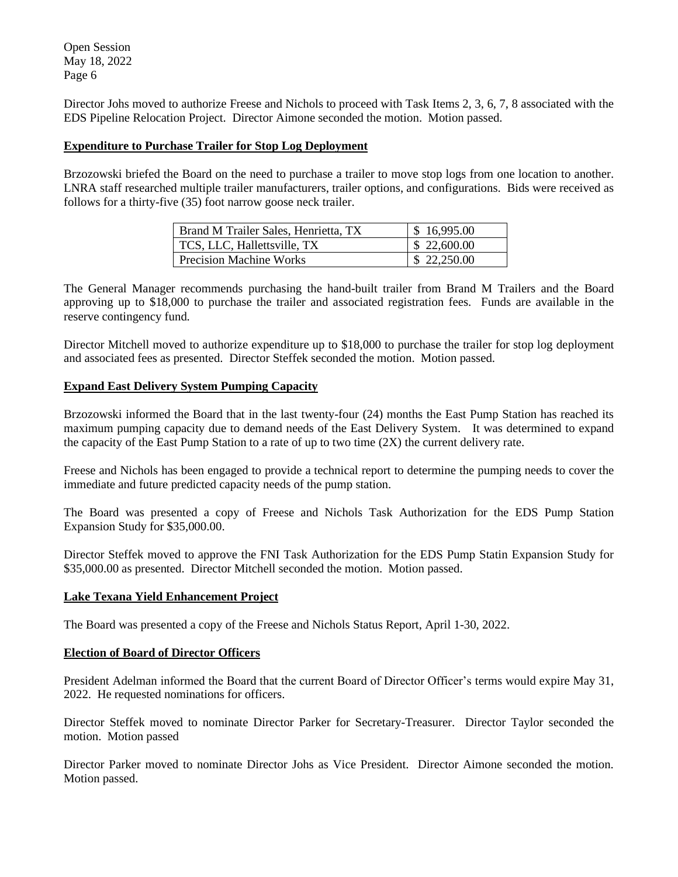Director Johs moved to authorize Freese and Nichols to proceed with Task Items 2, 3, 6, 7, 8 associated with the EDS Pipeline Relocation Project. Director Aimone seconded the motion. Motion passed.

# **Expenditure to Purchase Trailer for Stop Log Deployment**

Brzozowski briefed the Board on the need to purchase a trailer to move stop logs from one location to another. LNRA staff researched multiple trailer manufacturers, trailer options, and configurations. Bids were received as follows for a thirty-five (35) foot narrow goose neck trailer.

| Brand M Trailer Sales, Henrietta, TX | \$16,995.00 |
|--------------------------------------|-------------|
| TCS, LLC, Hallettsville, TX          | \$22,600.00 |
| <b>Precision Machine Works</b>       | \$22,250.00 |

The General Manager recommends purchasing the hand-built trailer from Brand M Trailers and the Board approving up to \$18,000 to purchase the trailer and associated registration fees. Funds are available in the reserve contingency fund.

Director Mitchell moved to authorize expenditure up to \$18,000 to purchase the trailer for stop log deployment and associated fees as presented. Director Steffek seconded the motion. Motion passed.

# **Expand East Delivery System Pumping Capacity**

Brzozowski informed the Board that in the last twenty-four (24) months the East Pump Station has reached its maximum pumping capacity due to demand needs of the East Delivery System. It was determined to expand the capacity of the East Pump Station to a rate of up to two time (2X) the current delivery rate.

Freese and Nichols has been engaged to provide a technical report to determine the pumping needs to cover the immediate and future predicted capacity needs of the pump station.

The Board was presented a copy of Freese and Nichols Task Authorization for the EDS Pump Station Expansion Study for \$35,000.00.

Director Steffek moved to approve the FNI Task Authorization for the EDS Pump Statin Expansion Study for \$35,000.00 as presented. Director Mitchell seconded the motion. Motion passed.

## **Lake Texana Yield Enhancement Project**

The Board was presented a copy of the Freese and Nichols Status Report, April 1-30, 2022.

## **Election of Board of Director Officers**

President Adelman informed the Board that the current Board of Director Officer's terms would expire May 31, 2022. He requested nominations for officers.

Director Steffek moved to nominate Director Parker for Secretary-Treasurer. Director Taylor seconded the motion. Motion passed

Director Parker moved to nominate Director Johs as Vice President. Director Aimone seconded the motion. Motion passed.